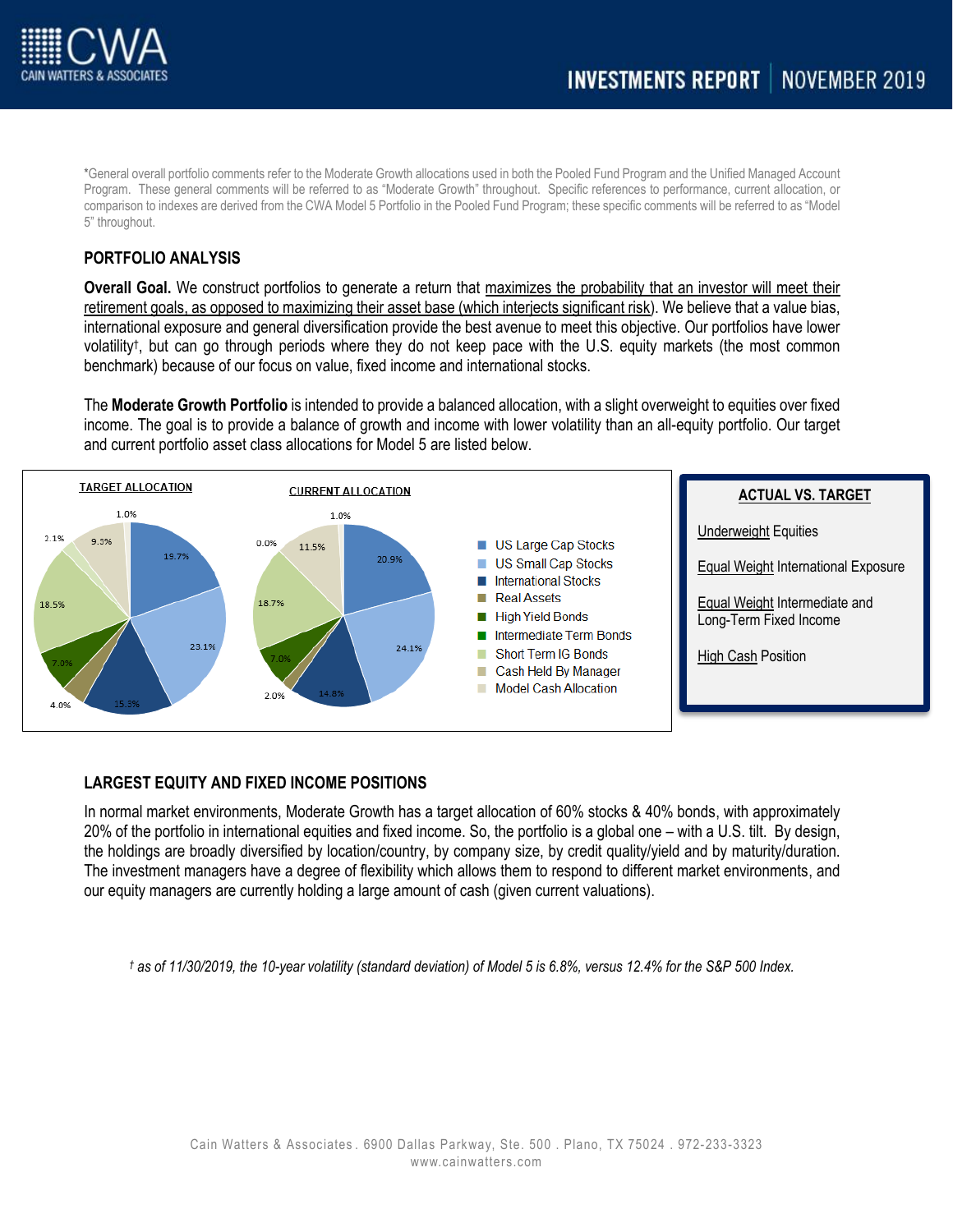

\*General overall portfolio comments refer to the Moderate Growth allocations used in both the Pooled Fund Program and the Unified Managed Account Program. These general comments will be referred to as "Moderate Growth" throughout. Specific references to performance, current allocation, or comparison to indexes are derived from the CWA Model 5 Portfolio in the Pooled Fund Program; these specific comments will be referred to as "Model 5" throughout.

## **PORTFOLIO ANALYSIS**

**Overall Goal.** We construct portfolios to generate a return that maximizes the probability that an investor will meet their retirement goals, as opposed to maximizing their asset base (which interjects significant risk). We believe that a value bias, international exposure and general diversification provide the best avenue to meet this objective. Our portfolios have lower volatility† , but can go through periods where they do not keep pace with the U.S. equity markets (the most common benchmark) because of our focus on value, fixed income and international stocks.

The **Moderate Growth Portfolio** is intended to provide a balanced allocation, with a slight overweight to equities over fixed income. The goal is to provide a balance of growth and income with lower volatility than an all-equity portfolio. Our target and current portfolio asset class allocations for Model 5 are listed below.



### **LARGEST EQUITY AND FIXED INCOME POSITIONS**

In normal market environments, Moderate Growth has a target allocation of 60% stocks & 40% bonds, with approximately 20% of the portfolio in international equities and fixed income. So, the portfolio is a global one – with a U.S. tilt. By design, the holdings are broadly diversified by location/country, by company size, by credit quality/yield and by maturity/duration. The investment managers have a degree of flexibility which allows them to respond to different market environments, and our equity managers are currently holding a large amount of cash (given current valuations).

*† as of 11/30/2019, the 10-year volatility (standard deviation) of Model 5 is 6.8%, versus 12.4% for the S&P 500 Index.*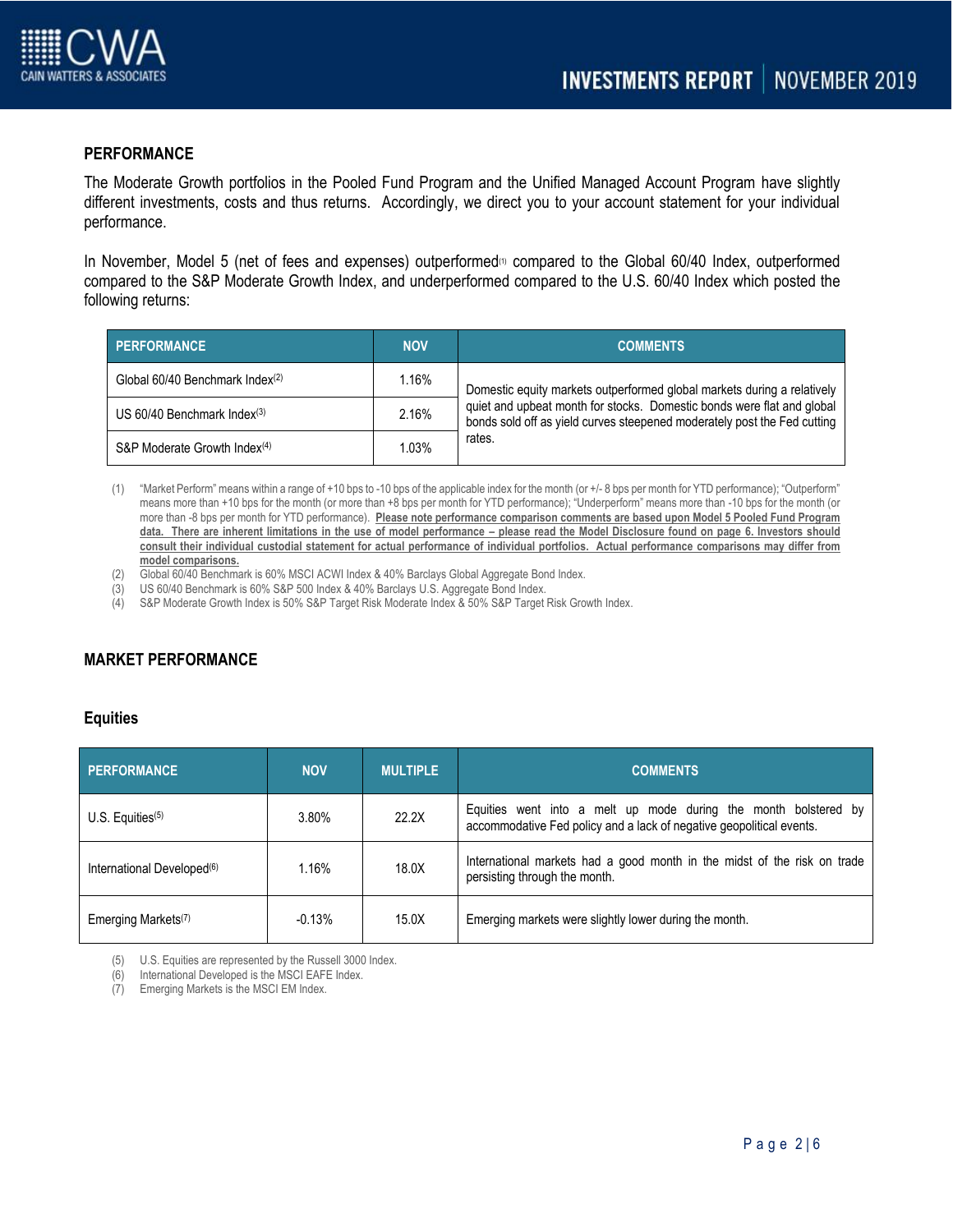

## **PERFORMANCE**

The Moderate Growth portfolios in the Pooled Fund Program and the Unified Managed Account Program have slightly different investments, costs and thus returns. Accordingly, we direct you to your account statement for your individual performance.

In November, Model 5 (net of fees and expenses) outperformed $\omega$  compared to the Global 60/40 Index, outperformed compared to the S&P Moderate Growth Index, and underperformed compared to the U.S. 60/40 Index which posted the following returns:

| <b>PERFORMANCE</b>                        | <b>NOV</b> | <b>COMMENTS</b>                                                                                                                                                                                                                         |
|-------------------------------------------|------------|-----------------------------------------------------------------------------------------------------------------------------------------------------------------------------------------------------------------------------------------|
| Global 60/40 Benchmark Index(2)           | 1.16%      | Domestic equity markets outperformed global markets during a relatively<br>quiet and upbeat month for stocks. Domestic bonds were flat and global<br>bonds sold off as yield curves steepened moderately post the Fed cutting<br>rates. |
| US $60/40$ Benchmark Index <sup>(3)</sup> | 2.16%      |                                                                                                                                                                                                                                         |
| S&P Moderate Growth Index <sup>(4)</sup>  | 1.03%      |                                                                                                                                                                                                                                         |

- (1) "Market Perform" means within a range of +10 bps to -10 bps of the applicable index for the month (or +/- 8 bps per month for YTD performance); "Outperform" means more than +10 bps for the month (or more than +8 bps per month for YTD performance); "Underperform" means more than -10 bps for the month (or more than -8 bps per month for YTD performance). **Please note performance comparison comments are based upon Model 5 Pooled Fund Program**  data. There are inherent limitations in the use of model performance – please read the Model Disclosure found on page 6. Investors should **consult their individual custodial statement for actual performance of individual portfolios. Actual performance comparisons may differ from model comparisons.**
- (2) Global 60/40 Benchmark is 60% MSCI ACWI Index & 40% Barclays Global Aggregate Bond Index.
- (3) US 60/40 Benchmark is 60% S&P 500 Index & 40% Barclays U.S. Aggregate Bond Index.
- (4) S&P Moderate Growth Index is 50% S&P Target Risk Moderate Index & 50% S&P Target Risk Growth Index.

# **MARKET PERFORMANCE**

#### **Equities**

| <b>PERFORMANCE</b>                     | <b>NOV</b> | <b>MULTIPLE</b> | <b>COMMENTS</b>                                                                                                                         |
|----------------------------------------|------------|-----------------|-----------------------------------------------------------------------------------------------------------------------------------------|
| U.S. Equities $(5)$                    | 3.80%      | 22.2X           | Equities went into a melt up mode during the month bolstered by<br>accommodative Fed policy and a lack of negative geopolitical events. |
| International Developed <sup>(6)</sup> | 1.16%      | 18.0X           | International markets had a good month in the midst of the risk on trade<br>persisting through the month.                               |
| Emerging Markets <sup>(7)</sup>        | $-0.13%$   | 15.0X           | Emerging markets were slightly lower during the month.                                                                                  |

(5) U.S. Equities are represented by the Russell 3000 Index.

(6) International Developed is the MSCI EAFE Index.

(7) Emerging Markets is the MSCI EM Index.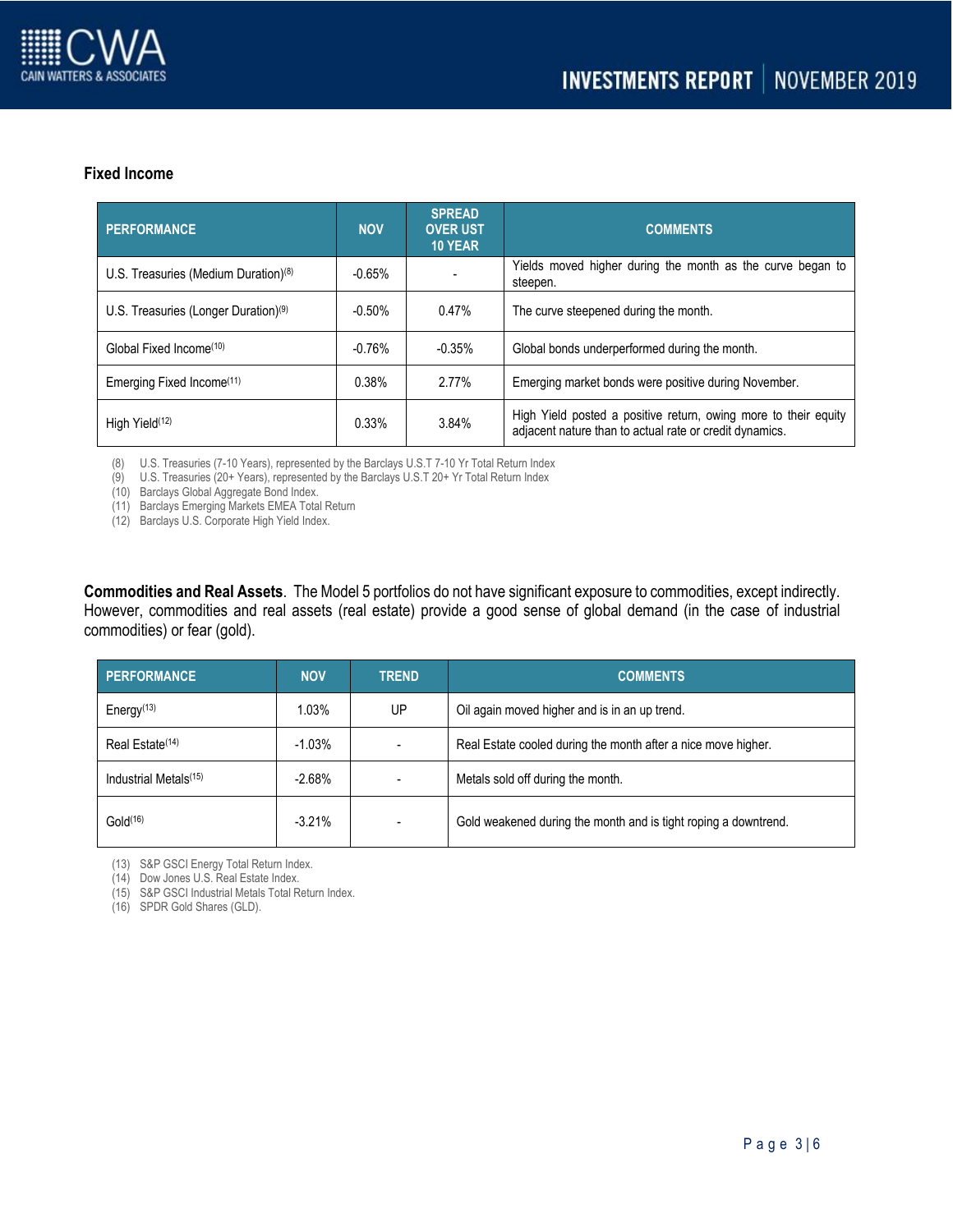

### **Fixed Income**

| PERFORMANCE                                      | <b>NOV</b> | <b>SPREAD</b><br><b>OVER UST</b><br><b>10 YEAR</b> | <b>COMMENTS</b>                                                                                                            |
|--------------------------------------------------|------------|----------------------------------------------------|----------------------------------------------------------------------------------------------------------------------------|
| U.S. Treasuries (Medium Duration) <sup>(8)</sup> | $-0.65%$   |                                                    | Yields moved higher during the month as the curve began to<br>steepen.                                                     |
| U.S. Treasuries (Longer Duration) <sup>(9)</sup> | $-0.50%$   | 0.47%                                              | The curve steepened during the month.                                                                                      |
| Global Fixed Income <sup>(10)</sup>              | $-0.76%$   | $-0.35%$                                           | Global bonds underperformed during the month.                                                                              |
| Emerging Fixed Income <sup>(11)</sup>            | 0.38%      | 2.77%                                              | Emerging market bonds were positive during November.                                                                       |
| High Yield <sup>(12)</sup>                       | 0.33%      | 3.84%                                              | High Yield posted a positive return, owing more to their equity<br>adjacent nature than to actual rate or credit dynamics. |

(8) U.S. Treasuries (7-10 Years), represented by the Barclays U.S.T 7-10 Yr Total Return Index

(9) U.S. Treasuries (20+ Years), represented by the Barclays U.S.T 20+ Yr Total Return Index

(10) Barclays Global Aggregate Bond Index.

(11) Barclays Emerging Markets EMEA Total Return

(12) Barclays U.S. Corporate High Yield Index.

**Commodities and Real Assets**. The Model 5 portfolios do not have significant exposure to commodities, except indirectly. However, commodities and real assets (real estate) provide a good sense of global demand (in the case of industrial commodities) or fear (gold).

| <b>PERFORMANCE</b>                | <b>NOV</b> | <b>TREND</b> | <b>COMMENTS</b>                                                 |
|-----------------------------------|------------|--------------|-----------------------------------------------------------------|
| Energy $(13)$                     | 1.03%      | UP           | Oil again moved higher and is in an up trend.                   |
| Real Estate <sup>(14)</sup>       | $-1.03%$   |              | Real Estate cooled during the month after a nice move higher.   |
| Industrial Metals <sup>(15)</sup> | $-2.68%$   |              | Metals sold off during the month.                               |
| Gold <sup>(16)</sup>              | $-3.21%$   |              | Gold weakened during the month and is tight roping a downtrend. |

(13) S&P GSCI Energy Total Return Index.

(14) Dow Jones U.S. Real Estate Index.

(15) S&P GSCI Industrial Metals Total Return Index.

(16) SPDR Gold Shares (GLD).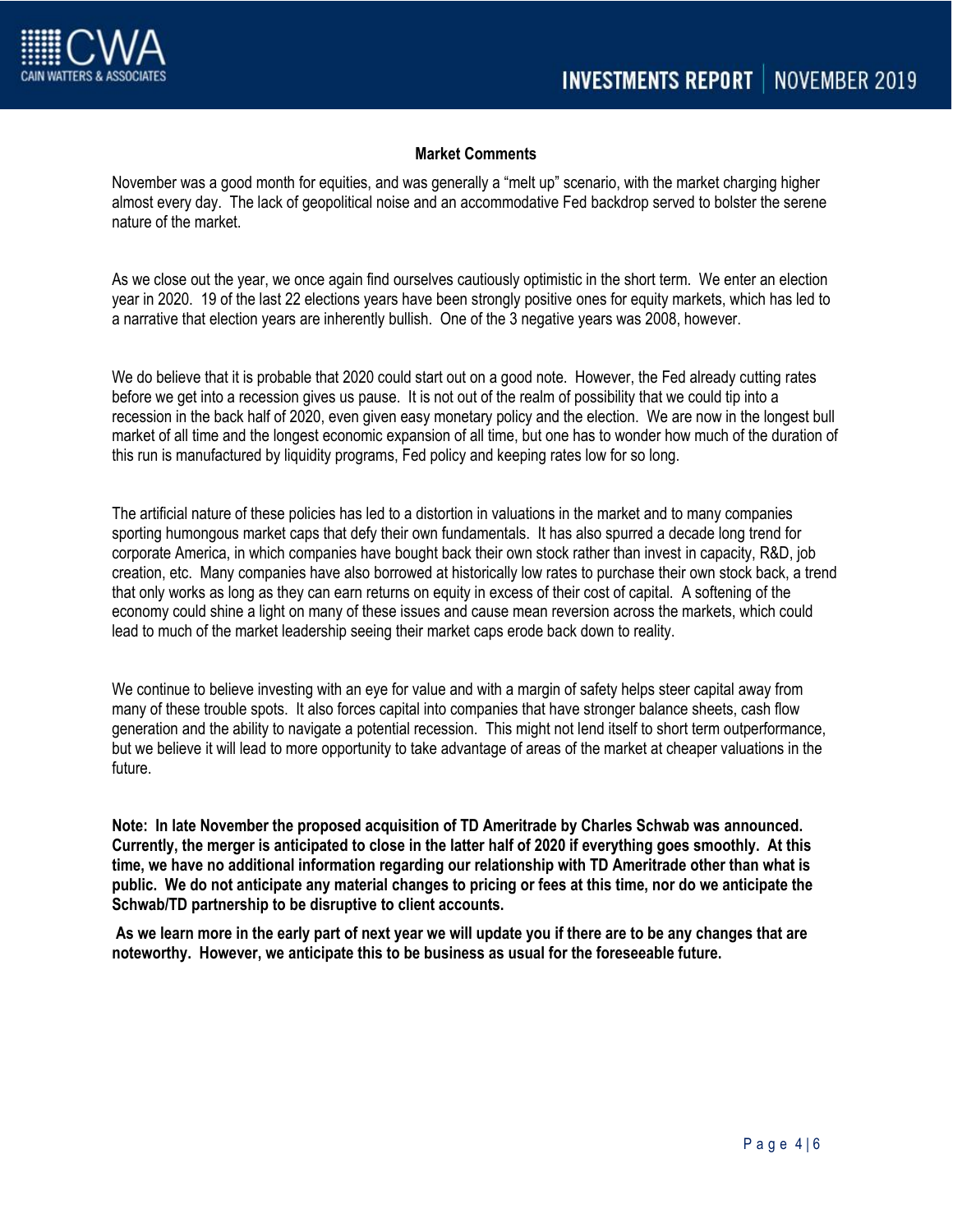

## **Market Comments**

November was a good month for equities, and was generally a "melt up" scenario, with the market charging higher almost every day. The lack of geopolitical noise and an accommodative Fed backdrop served to bolster the serene nature of the market.

As we close out the year, we once again find ourselves cautiously optimistic in the short term. We enter an election year in 2020. 19 of the last 22 elections years have been strongly positive ones for equity markets, which has led to a narrative that election years are inherently bullish. One of the 3 negative years was 2008, however.

We do believe that it is probable that 2020 could start out on a good note. However, the Fed already cutting rates before we get into a recession gives us pause. It is not out of the realm of possibility that we could tip into a recession in the back half of 2020, even given easy monetary policy and the election. We are now in the longest bull market of all time and the longest economic expansion of all time, but one has to wonder how much of the duration of this run is manufactured by liquidity programs, Fed policy and keeping rates low for so long.

The artificial nature of these policies has led to a distortion in valuations in the market and to many companies sporting humongous market caps that defy their own fundamentals. It has also spurred a decade long trend for corporate America, in which companies have bought back their own stock rather than invest in capacity, R&D, job creation, etc. Many companies have also borrowed at historically low rates to purchase their own stock back, a trend that only works as long as they can earn returns on equity in excess of their cost of capital. A softening of the economy could shine a light on many of these issues and cause mean reversion across the markets, which could lead to much of the market leadership seeing their market caps erode back down to reality.

We continue to believe investing with an eye for value and with a margin of safety helps steer capital away from many of these trouble spots. It also forces capital into companies that have stronger balance sheets, cash flow generation and the ability to navigate a potential recession. This might not lend itself to short term outperformance, but we believe it will lead to more opportunity to take advantage of areas of the market at cheaper valuations in the future.

**Note: In late November the proposed acquisition of TD Ameritrade by Charles Schwab was announced. Currently, the merger is anticipated to close in the latter half of 2020 if everything goes smoothly. At this time, we have no additional information regarding our relationship with TD Ameritrade other than what is public. We do not anticipate any material changes to pricing or fees at this time, nor do we anticipate the Schwab/TD partnership to be disruptive to client accounts.** 

**As we learn more in the early part of next year we will update you if there are to be any changes that are noteworthy. However, we anticipate this to be business as usual for the foreseeable future.**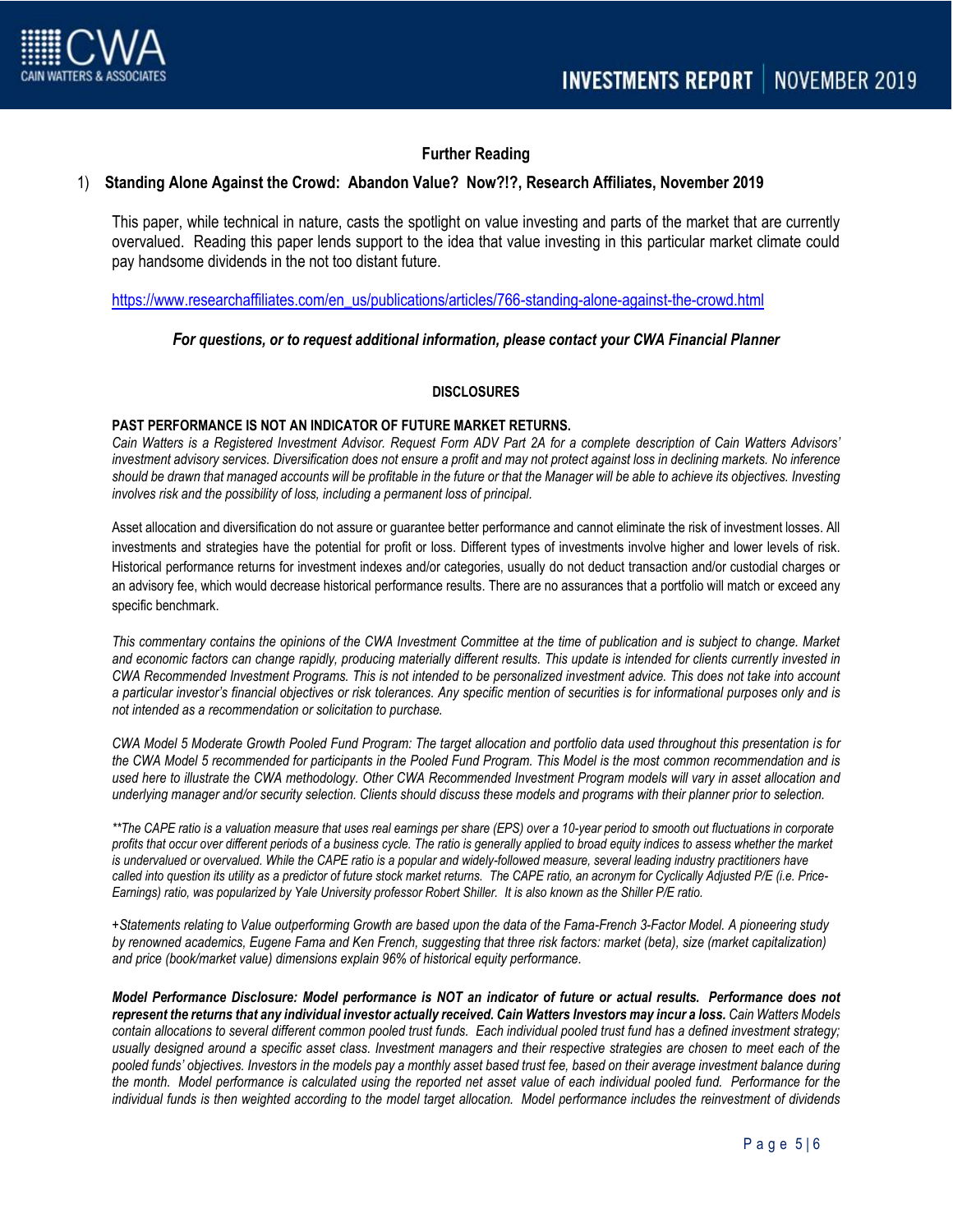

# **Further Reading**

### 1) **Standing Alone Against the Crowd: Abandon Value? Now?!?, Research Affiliates, November 2019**

This paper, while technical in nature, casts the spotlight on value investing and parts of the market that are currently overvalued. Reading this paper lends support to the idea that value investing in this particular market climate could pay handsome dividends in the not too distant future.

[https://www.researchaffiliates.com/en\\_us/publications/articles/766-standing-alone-against-the-crowd.html](https://www.researchaffiliates.com/en_us/publications/articles/766-standing-alone-against-the-crowd.html)

#### *For questions, or to request additional information, please contact your CWA Financial Planner*

#### **DISCLOSURES**

#### **PAST PERFORMANCE IS NOT AN INDICATOR OF FUTURE MARKET RETURNS.**

Cain Watters is a Registered Investment Advisor. Request Form ADV Part 2A for a complete description of Cain Watters Advisors' *investment advisory services. Diversification does not ensure a profit and may not protect against loss in declining markets. No inference should be drawn that managed accounts will be profitable in the future or that the Manager will be able to achieve its objectives. Investing involves risk and the possibility of loss, including a permanent loss of principal.*

Asset allocation and diversification do not assure or guarantee better performance and cannot eliminate the risk of investment losses. All investments and strategies have the potential for profit or loss. Different types of investments involve higher and lower levels of risk. Historical performance returns for investment indexes and/or categories, usually do not deduct transaction and/or custodial charges or an advisory fee, which would decrease historical performance results. There are no assurances that a portfolio will match or exceed any specific benchmark.

*This commentary contains the opinions of the CWA Investment Committee at the time of publication and is subject to change. Market and economic factors can change rapidly, producing materially different results. This update is intended for clients currently invested in CWA Recommended Investment Programs. This is not intended to be personalized investment advice. This does not take into account a particular investor's financial objectives or risk tolerances. Any specific mention of securities is for informational purposes only and is not intended as a recommendation or solicitation to purchase.*

*CWA Model 5 Moderate Growth Pooled Fund Program: The target allocation and portfolio data used throughout this presentation is for the CWA Model 5 recommended for participants in the Pooled Fund Program. This Model is the most common recommendation and is used here to illustrate the CWA methodology. Other CWA Recommended Investment Program models will vary in asset allocation and underlying manager and/or security selection. Clients should discuss these models and programs with their planner prior to selection.*

\*\*The CAPE ratio is a valuation measure that uses real earnings per share (EPS) over a 10-year period to smooth out fluctuations in corporate *profits that occur over different periods of a business cycle. The ratio is generally applied to broad equity indices to assess whether the market*  is undervalued or overvalued. While the CAPE ratio is a popular and widely-followed measure, several leading industry practitioners have *called into question its utility as a predictor of future stock market returns. The CAPE ratio, an acronym for Cyclically Adjusted P/E (i.e. Price-Earnings) ratio, was popularized by Yale University professor Robert Shiller. It is also known as the Shiller P/E ratio.*

*+Statements relating to Value outperforming Growth are based upon the data of the Fama-French 3-Factor Model. A pioneering study by renowned academics, Eugene Fama and Ken French, suggesting that three risk factors: market (beta), size (market capitalization) and price (book/market value) dimensions explain 96% of historical equity performance.*

*Model Performance Disclosure: Model performance is NOT an indicator of future or actual results. Performance does not represent the returns that any individual investor actually received. Cain Watters Investors may incur a loss. Cain Watters Models contain allocations to several different common pooled trust funds. Each individual pooled trust fund has a defined investment strategy; usually designed around a specific asset class. Investment managers and their respective strategies are chosen to meet each of the pooled funds' objectives. Investors in the models pay a monthly asset based trust fee, based on their average investment balance during the month. Model performance is calculated using the reported net asset value of each individual pooled fund. Performance for the individual funds is then weighted according to the model target allocation. Model performance includes the reinvestment of dividends*